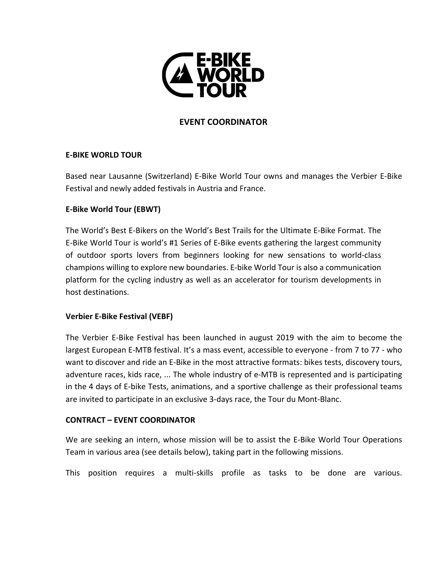

# **EVENT COORDINATOR**

#### **E-BIKE WORLD TOUR**

Based near Lausanne (Switzerland) E-Bike World Tour owns and manages the Verbier E-Bike Festival and newly added festivals in Austria and France.

#### **E-Bike World Tour (EBWT)**

The World's Best E-Bikers on the World's Best Trails for the Ultimate E-Bike Format. The E-Bike World Tour is world's #1 Series of E-Bike events gathering the largest community of outdoor sports lovers from beginners looking for new sensations to world-class champions willing to explore new boundaries. E-bike World Tour is also a communication platform for the cycling industry as well as an accelerator for tourism developments in host destinations.

#### **Verbier E-Bike Festival (VEBF)**

The Verbier E-Bike Festival has been launched in august 2019 with the aim to become the largest European E-MTB festival. It's a mass event, accessible to everyone - from 7 to 77 - who want to discover and ride an E-Bike in the most attractive formats: bikes tests, discovery tours, adventure races, kids race, ... The whole industry of e-MTB is represented and is participating in the 4 days of E-bike Tests, animations, and a sportive challenge as their professional teams are invited to participate in an exclusive 3-days race, the Tour du Mont-Blanc.

#### **CONTRACT – EVENT COORDINATOR**

We are seeking an intern, whose mission will be to assist the E-Bike World Tour Operations Team in various area (see details below), taking part in the following missions.

This position requires a multi-skills profile as tasks to be done are various.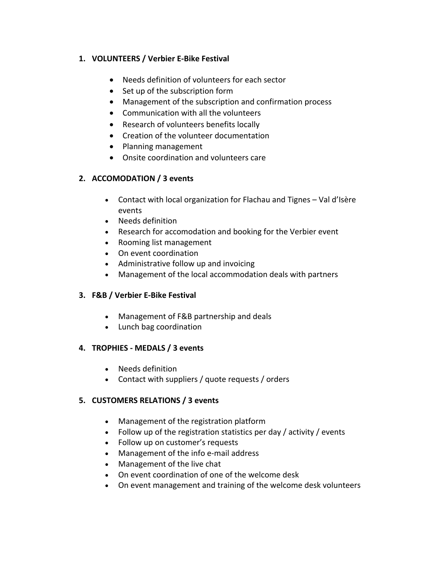## **1. VOLUNTEERS / Verbier E-Bike Festival**

- Needs definition of volunteers for each sector
- Set up of the subscription form
- Management of the subscription and confirmation process
- Communication with all the volunteers
- Research of volunteers benefits locally
- Creation of the volunteer documentation
- Planning management
- Onsite coordination and volunteers care

# **2. ACCOMODATION / 3 events**

- Contact with local organization for Flachau and Tignes Val d'Isère events
- Needs definition
- Research for accomodation and booking for the Verbier event
- Rooming list management
- On event coordination
- Administrative follow up and invoicing
- Management of the local accommodation deals with partners

## **3. F&B / Verbier E-Bike Festival**

- Management of F&B partnership and deals
- Lunch bag coordination

## **4. TROPHIES - MEDALS / 3 events**

- Needs definition
- Contact with suppliers / quote requests / orders

## **5. CUSTOMERS RELATIONS / 3 events**

- Management of the registration platform
- Follow up of the registration statistics per day / activity / events
- Follow up on customer's requests
- Management of the info e-mail address
- Management of the live chat
- On event coordination of one of the welcome desk
- On event management and training of the welcome desk volunteers